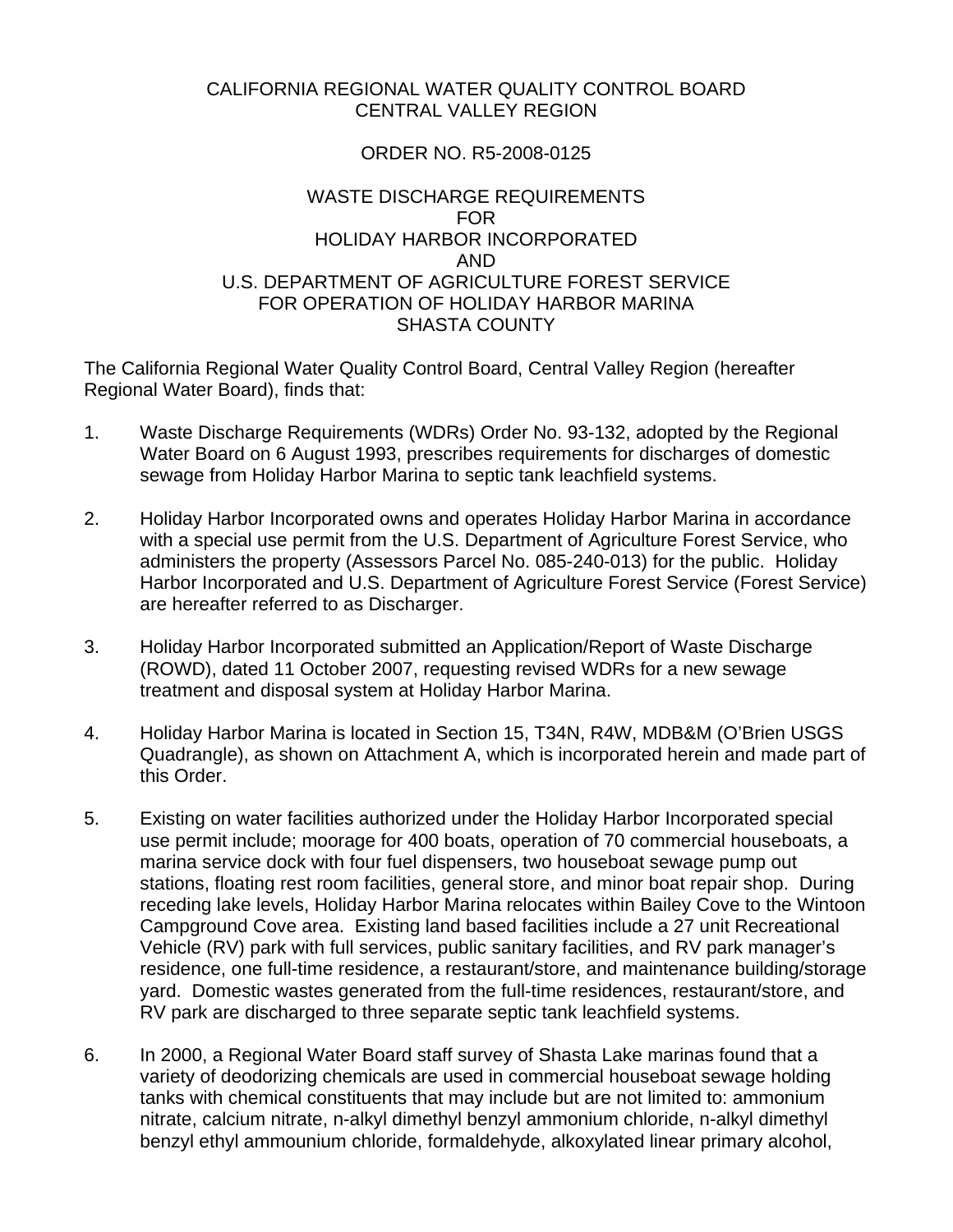#### CALIFORNIA REGIONAL WATER QUALITY CONTROL BOARD CENTRAL VALLEY REGION

#### ORDER NO. R5-2008-0125

#### WASTE DISCHARGE REQUIREMENTS FOR HOLIDAY HARBOR INCORPORATED AND U.S. DEPARTMENT OF AGRICULTURE FOREST SERVICE FOR OPERATION OF HOLIDAY HARBOR MARINA SHASTA COUNTY

The California Regional Water Quality Control Board, Central Valley Region (hereafter Regional Water Board), finds that:

- 1. Waste Discharge Requirements (WDRs) Order No. 93-132, adopted by the Regional Water Board on 6 August 1993, prescribes requirements for discharges of domestic sewage from Holiday Harbor Marina to septic tank leachfield systems.
- 2. Holiday Harbor Incorporated owns and operates Holiday Harbor Marina in accordance with a special use permit from the U.S. Department of Agriculture Forest Service, who administers the property (Assessors Parcel No. 085-240-013) for the public. Holiday Harbor Incorporated and U.S. Department of Agriculture Forest Service (Forest Service) are hereafter referred to as Discharger.
- 3. Holiday Harbor Incorporated submitted an Application/Report of Waste Discharge (ROWD), dated 11 October 2007, requesting revised WDRs for a new sewage treatment and disposal system at Holiday Harbor Marina.
- 4. Holiday Harbor Marina is located in Section 15, T34N, R4W, MDB&M (O'Brien USGS Quadrangle), as shown on Attachment A, which is incorporated herein and made part of this Order.
- 5. Existing on water facilities authorized under the Holiday Harbor Incorporated special use permit include; moorage for 400 boats, operation of 70 commercial houseboats, a marina service dock with four fuel dispensers, two houseboat sewage pump out stations, floating rest room facilities, general store, and minor boat repair shop. During receding lake levels, Holiday Harbor Marina relocates within Bailey Cove to the Wintoon Campground Cove area. Existing land based facilities include a 27 unit Recreational Vehicle (RV) park with full services, public sanitary facilities, and RV park manager's residence, one full-time residence, a restaurant/store, and maintenance building/storage yard. Domestic wastes generated from the full-time residences, restaurant/store, and RV park are discharged to three separate septic tank leachfield systems.
- 6. In 2000, a Regional Water Board staff survey of Shasta Lake marinas found that a variety of deodorizing chemicals are used in commercial houseboat sewage holding tanks with chemical constituents that may include but are not limited to: ammonium nitrate, calcium nitrate, n-alkyl dimethyl benzyl ammonium chloride, n-alkyl dimethyl benzyl ethyl ammounium chloride, formaldehyde, alkoxylated linear primary alcohol,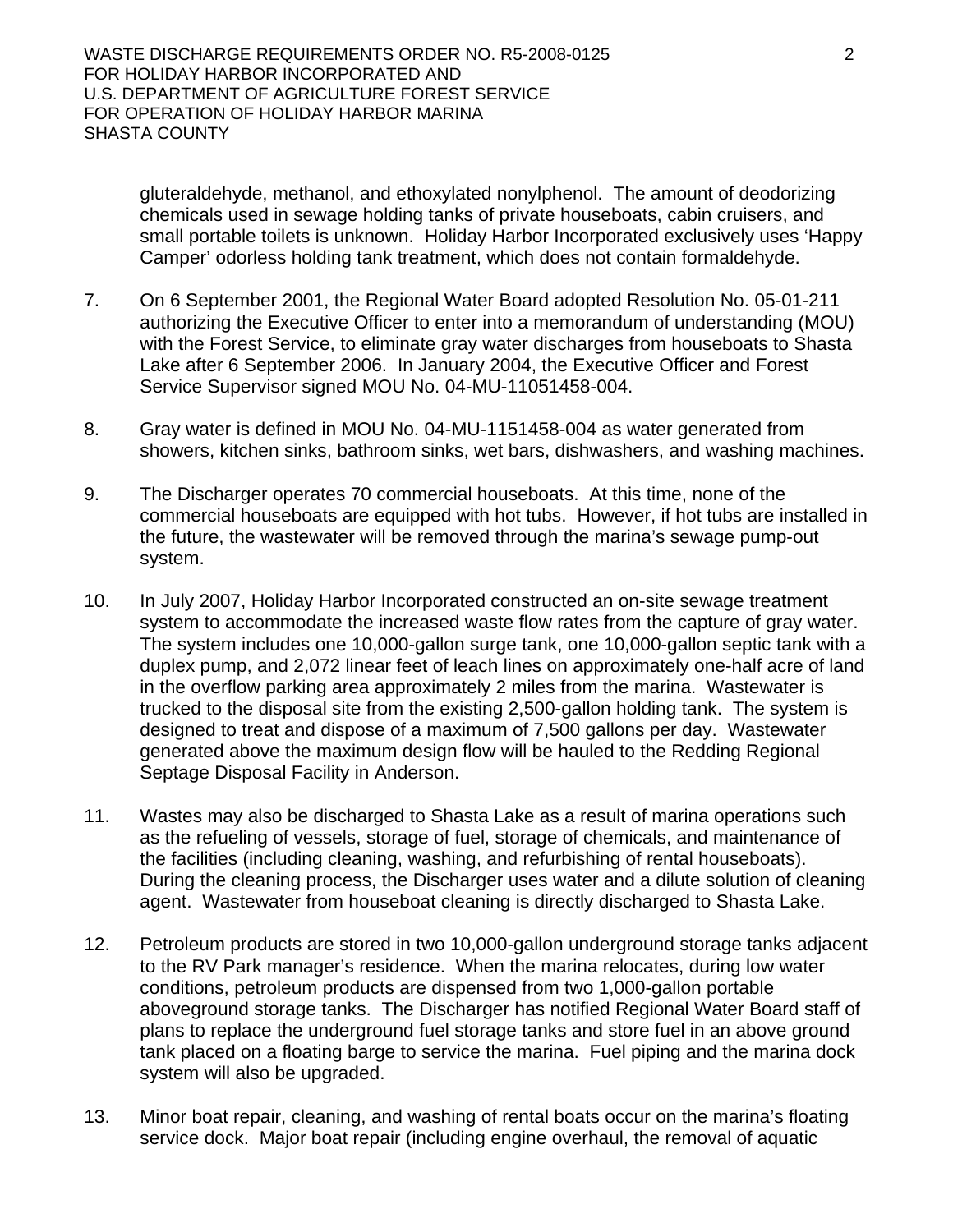gluteraldehyde, methanol, and ethoxylated nonylphenol. The amount of deodorizing chemicals used in sewage holding tanks of private houseboats, cabin cruisers, and small portable toilets is unknown. Holiday Harbor Incorporated exclusively uses 'Happy Camper' odorless holding tank treatment, which does not contain formaldehyde.

- 7. On 6 September 2001, the Regional Water Board adopted Resolution No. 05-01-211 authorizing the Executive Officer to enter into a memorandum of understanding (MOU) with the Forest Service, to eliminate gray water discharges from houseboats to Shasta Lake after 6 September 2006. In January 2004, the Executive Officer and Forest Service Supervisor signed MOU No. 04-MU-11051458-004.
- 8. Gray water is defined in MOU No. 04-MU-1151458-004 as water generated from showers, kitchen sinks, bathroom sinks, wet bars, dishwashers, and washing machines.
- 9. The Discharger operates 70 commercial houseboats. At this time, none of the commercial houseboats are equipped with hot tubs. However, if hot tubs are installed in the future, the wastewater will be removed through the marina's sewage pump-out system.
- 10. In July 2007, Holiday Harbor Incorporated constructed an on-site sewage treatment system to accommodate the increased waste flow rates from the capture of gray water. The system includes one 10,000-gallon surge tank, one 10,000-gallon septic tank with a duplex pump, and 2,072 linear feet of leach lines on approximately one-half acre of land in the overflow parking area approximately 2 miles from the marina. Wastewater is trucked to the disposal site from the existing 2,500-gallon holding tank. The system is designed to treat and dispose of a maximum of 7,500 gallons per day. Wastewater generated above the maximum design flow will be hauled to the Redding Regional Septage Disposal Facility in Anderson.
- 11. Wastes may also be discharged to Shasta Lake as a result of marina operations such as the refueling of vessels, storage of fuel, storage of chemicals, and maintenance of the facilities (including cleaning, washing, and refurbishing of rental houseboats). During the cleaning process, the Discharger uses water and a dilute solution of cleaning agent. Wastewater from houseboat cleaning is directly discharged to Shasta Lake.
- 12. Petroleum products are stored in two 10,000-gallon underground storage tanks adjacent to the RV Park manager's residence. When the marina relocates, during low water conditions, petroleum products are dispensed from two 1,000-gallon portable aboveground storage tanks. The Discharger has notified Regional Water Board staff of plans to replace the underground fuel storage tanks and store fuel in an above ground tank placed on a floating barge to service the marina. Fuel piping and the marina dock system will also be upgraded.
- 13. Minor boat repair, cleaning, and washing of rental boats occur on the marina's floating service dock. Major boat repair (including engine overhaul, the removal of aquatic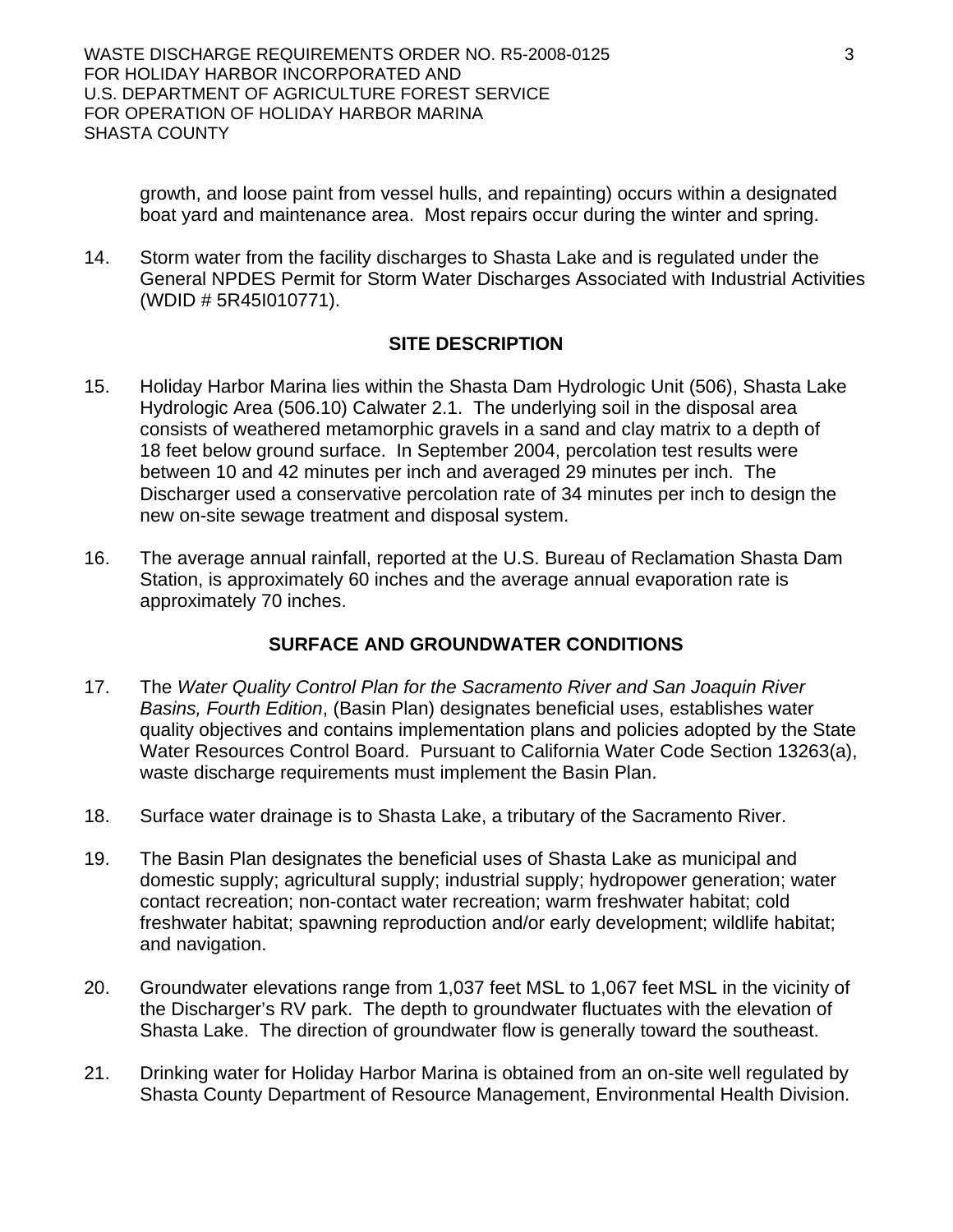growth, and loose paint from vessel hulls, and repainting) occurs within a designated boat yard and maintenance area. Most repairs occur during the winter and spring.

14. Storm water from the facility discharges to Shasta Lake and is regulated under the General NPDES Permit for Storm Water Discharges Associated with Industrial Activities (WDID # 5R45I010771).

# **SITE DESCRIPTION**

- 15. Holiday Harbor Marina lies within the Shasta Dam Hydrologic Unit (506), Shasta Lake Hydrologic Area (506.10) Calwater 2.1. The underlying soil in the disposal area consists of weathered metamorphic gravels in a sand and clay matrix to a depth of 18 feet below ground surface. In September 2004, percolation test results were between 10 and 42 minutes per inch and averaged 29 minutes per inch. The Discharger used a conservative percolation rate of 34 minutes per inch to design the new on-site sewage treatment and disposal system.
- 16. The average annual rainfall, reported at the U.S. Bureau of Reclamation Shasta Dam Station, is approximately 60 inches and the average annual evaporation rate is approximately 70 inches.

# **SURFACE AND GROUNDWATER CONDITIONS**

- 17. The *Water Quality Control Plan for the Sacramento River and San Joaquin River Basins, Fourth Edition*, (Basin Plan) designates beneficial uses, establishes water quality objectives and contains implementation plans and policies adopted by the State Water Resources Control Board. Pursuant to California Water Code Section 13263(a), waste discharge requirements must implement the Basin Plan.
- 18. Surface water drainage is to Shasta Lake, a tributary of the Sacramento River.
- 19. The Basin Plan designates the beneficial uses of Shasta Lake as municipal and domestic supply; agricultural supply; industrial supply; hydropower generation; water contact recreation; non-contact water recreation; warm freshwater habitat; cold freshwater habitat; spawning reproduction and/or early development; wildlife habitat; and navigation.
- 20. Groundwater elevations range from 1,037 feet MSL to 1,067 feet MSL in the vicinity of the Discharger's RV park. The depth to groundwater fluctuates with the elevation of Shasta Lake. The direction of groundwater flow is generally toward the southeast.
- 21. Drinking water for Holiday Harbor Marina is obtained from an on-site well regulated by Shasta County Department of Resource Management, Environmental Health Division.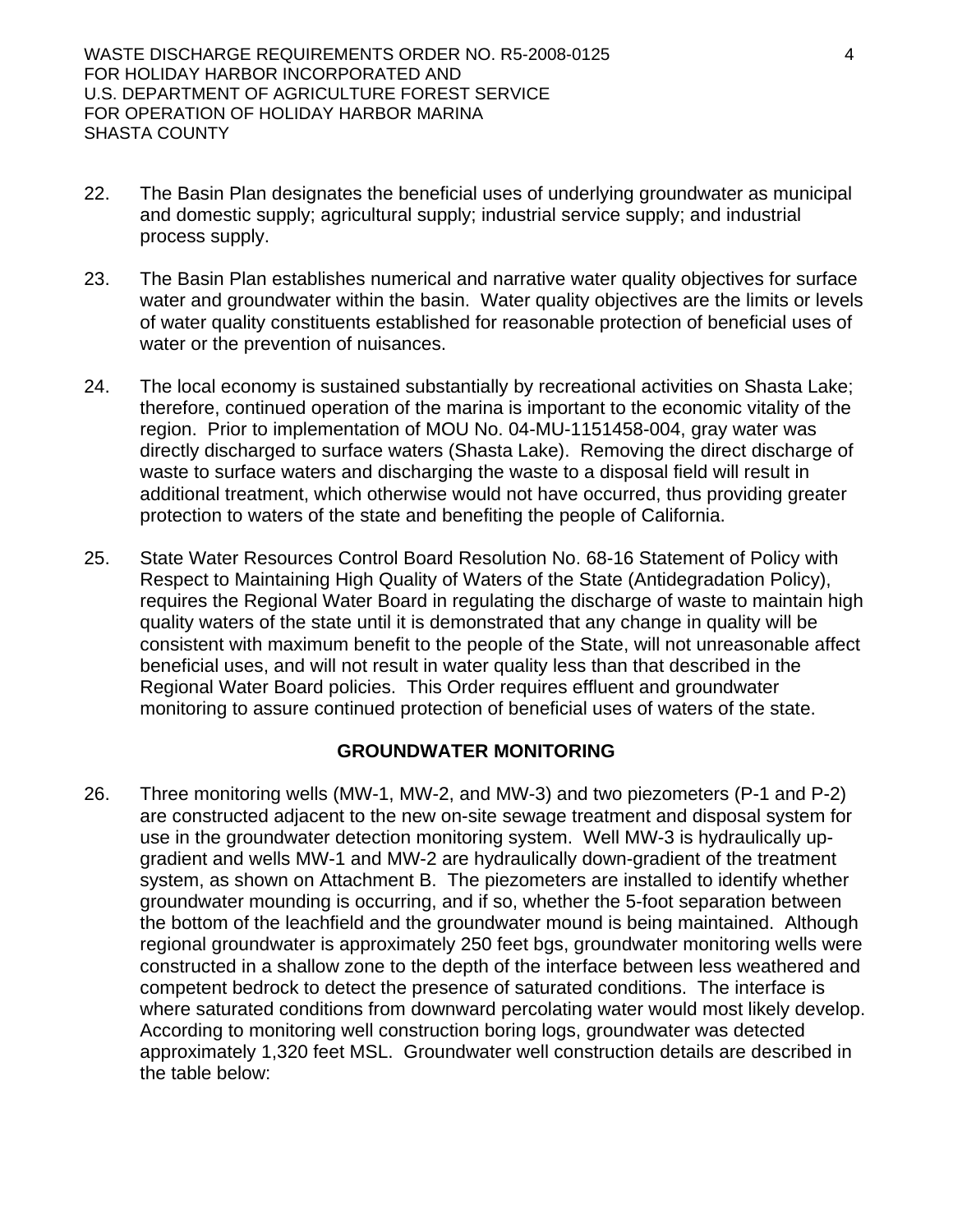- 22. The Basin Plan designates the beneficial uses of underlying groundwater as municipal and domestic supply; agricultural supply; industrial service supply; and industrial process supply.
- 23. The Basin Plan establishes numerical and narrative water quality objectives for surface water and groundwater within the basin. Water quality objectives are the limits or levels of water quality constituents established for reasonable protection of beneficial uses of water or the prevention of nuisances.
- 24. The local economy is sustained substantially by recreational activities on Shasta Lake; therefore, continued operation of the marina is important to the economic vitality of the region. Prior to implementation of MOU No. 04-MU-1151458-004, gray water was directly discharged to surface waters (Shasta Lake). Removing the direct discharge of waste to surface waters and discharging the waste to a disposal field will result in additional treatment, which otherwise would not have occurred, thus providing greater protection to waters of the state and benefiting the people of California.
- 25. State Water Resources Control Board Resolution No. 68-16 Statement of Policy with Respect to Maintaining High Quality of Waters of the State (Antidegradation Policy), requires the Regional Water Board in regulating the discharge of waste to maintain high quality waters of the state until it is demonstrated that any change in quality will be consistent with maximum benefit to the people of the State, will not unreasonable affect beneficial uses, and will not result in water quality less than that described in the Regional Water Board policies. This Order requires effluent and groundwater monitoring to assure continued protection of beneficial uses of waters of the state.

#### **GROUNDWATER MONITORING**

26. Three monitoring wells (MW-1, MW-2, and MW-3) and two piezometers (P-1 and P-2) are constructed adjacent to the new on-site sewage treatment and disposal system for use in the groundwater detection monitoring system. Well MW-3 is hydraulically upgradient and wells MW-1 and MW-2 are hydraulically down-gradient of the treatment system, as shown on Attachment B. The piezometers are installed to identify whether groundwater mounding is occurring, and if so, whether the 5-foot separation between the bottom of the leachfield and the groundwater mound is being maintained. Although regional groundwater is approximately 250 feet bgs, groundwater monitoring wells were constructed in a shallow zone to the depth of the interface between less weathered and competent bedrock to detect the presence of saturated conditions. The interface is where saturated conditions from downward percolating water would most likely develop. According to monitoring well construction boring logs, groundwater was detected approximately 1,320 feet MSL. Groundwater well construction details are described in the table below: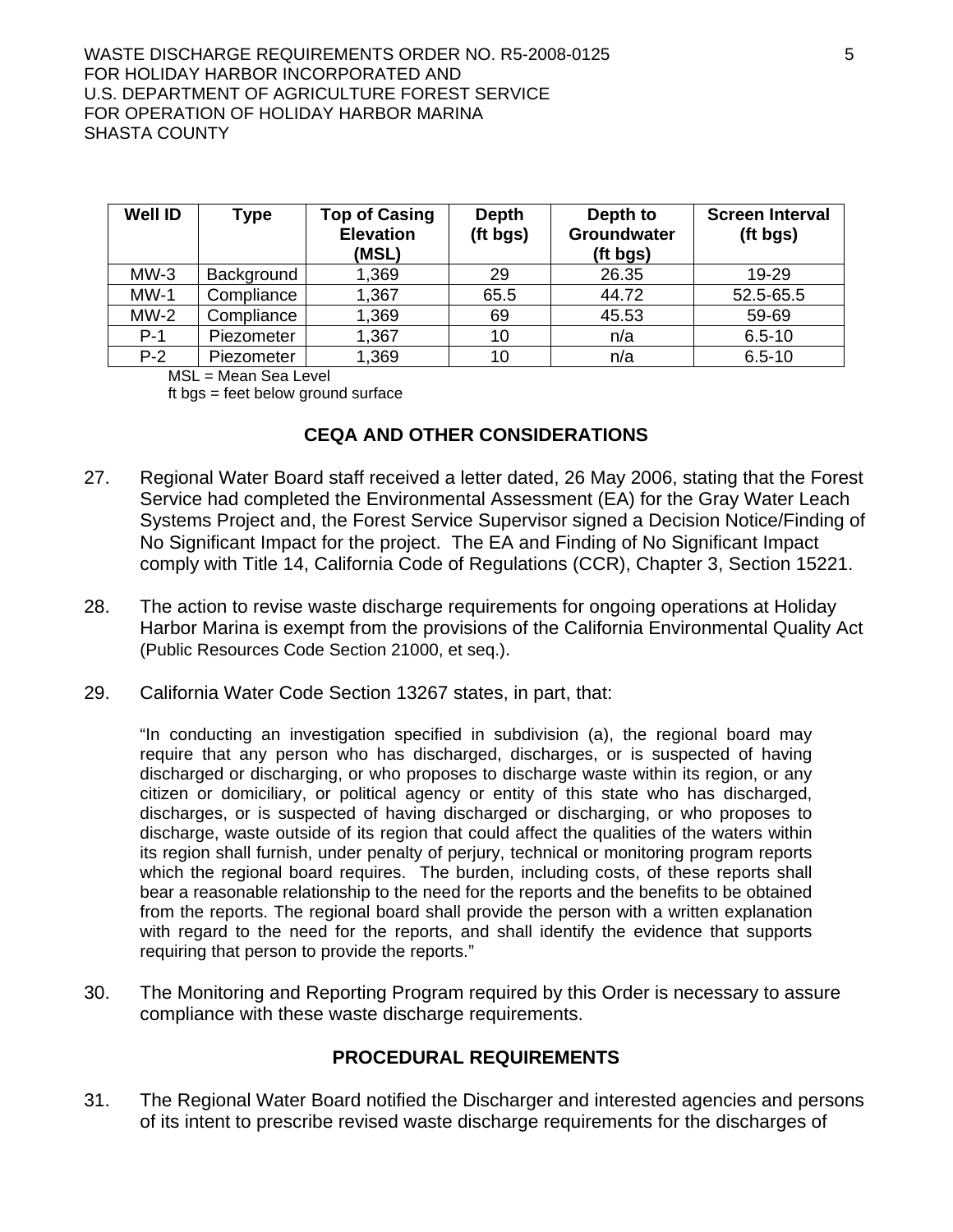| <b>Well ID</b> | <b>Type</b> | <b>Top of Casing</b><br><b>Elevation</b><br>(MSL) | <b>Depth</b><br>(ft bgs) | Depth to<br>Groundwater<br>(ft bgs) | <b>Screen Interval</b><br>(ft bgs) |
|----------------|-------------|---------------------------------------------------|--------------------------|-------------------------------------|------------------------------------|
| $MW-3$         | Background  | 1,369                                             | 29                       | 26.35                               | 19-29                              |
| $MW-1$         | Compliance  | 1,367                                             | 65.5                     | 44.72                               | 52.5-65.5                          |
| $MW-2$         | Compliance  | 1,369                                             | 69                       | 45.53                               | 59-69                              |
| $P-1$          | Piezometer  | 1,367                                             | 10                       | n/a                                 | $6.5 - 10$                         |
| $P-2$          | Piezometer  | 1,369                                             | 10                       | n/a                                 | $6.5 - 10$                         |

MSL = Mean Sea Level

ft bgs = feet below ground surface

#### **CEQA AND OTHER CONSIDERATIONS**

- 27. Regional Water Board staff received a letter dated, 26 May 2006, stating that the Forest Service had completed the Environmental Assessment (EA) for the Gray Water Leach Systems Project and, the Forest Service Supervisor signed a Decision Notice/Finding of No Significant Impact for the project. The EA and Finding of No Significant Impact comply with Title 14, California Code of Regulations (CCR), Chapter 3, Section 15221.
- 28. The action to revise waste discharge requirements for ongoing operations at Holiday Harbor Marina is exempt from the provisions of the California Environmental Quality Act (Public Resources Code Section 21000, et seq.).
- 29. California Water Code Section 13267 states, in part, that:

"In conducting an investigation specified in subdivision (a), the regional board may require that any person who has discharged, discharges, or is suspected of having discharged or discharging, or who proposes to discharge waste within its region, or any citizen or domiciliary, or political agency or entity of this state who has discharged, discharges, or is suspected of having discharged or discharging, or who proposes to discharge, waste outside of its region that could affect the qualities of the waters within its region shall furnish, under penalty of perjury, technical or monitoring program reports which the regional board requires. The burden, including costs, of these reports shall bear a reasonable relationship to the need for the reports and the benefits to be obtained from the reports. The regional board shall provide the person with a written explanation with regard to the need for the reports, and shall identify the evidence that supports requiring that person to provide the reports."

30. The Monitoring and Reporting Program required by this Order is necessary to assure compliance with these waste discharge requirements.

#### **PROCEDURAL REQUIREMENTS**

31. The Regional Water Board notified the Discharger and interested agencies and persons of its intent to prescribe revised waste discharge requirements for the discharges of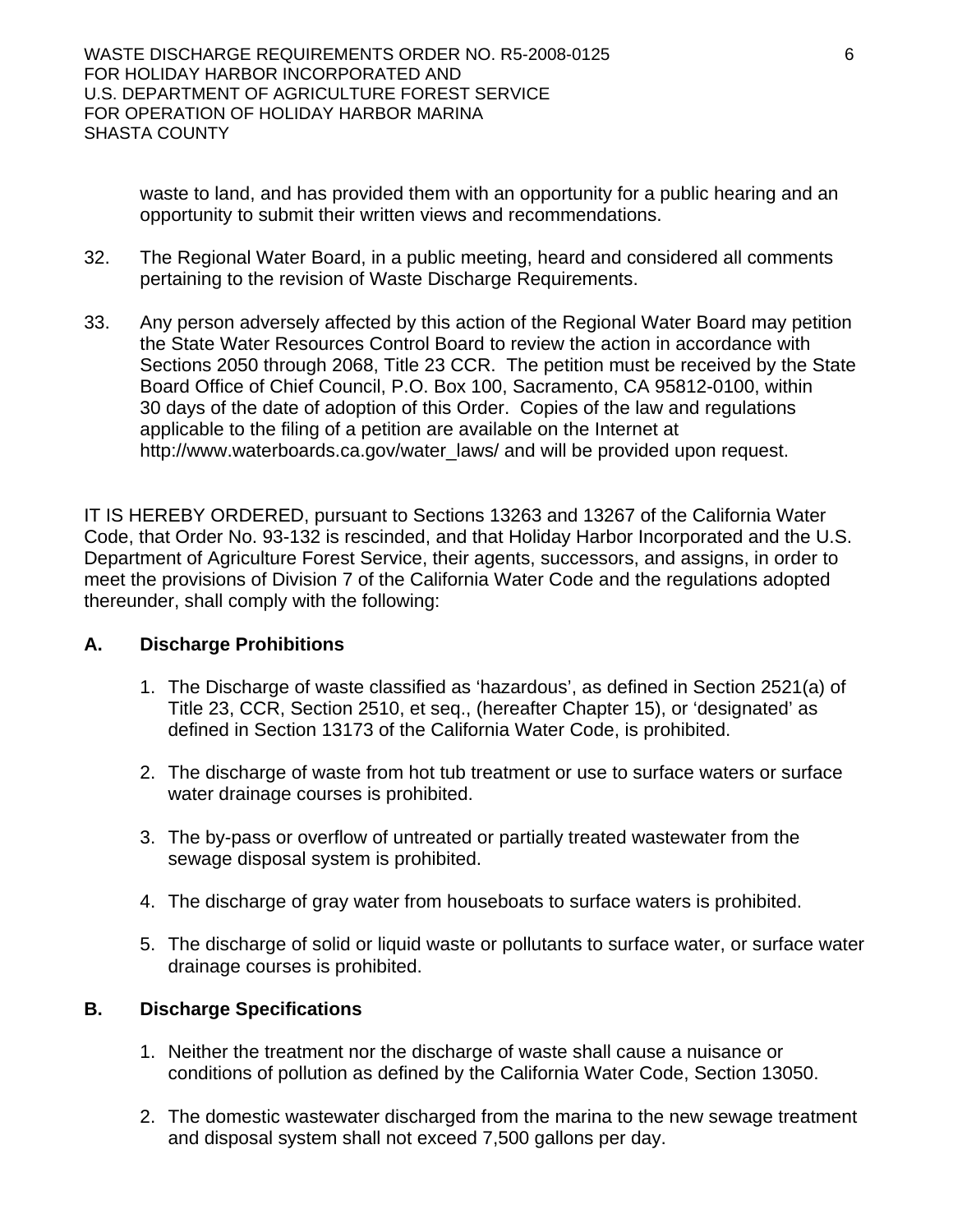waste to land, and has provided them with an opportunity for a public hearing and an opportunity to submit their written views and recommendations.

- 32. The Regional Water Board, in a public meeting, heard and considered all comments pertaining to the revision of Waste Discharge Requirements.
- 33. Any person adversely affected by this action of the Regional Water Board may petition the State Water Resources Control Board to review the action in accordance with Sections 2050 through 2068, Title 23 CCR. The petition must be received by the State Board Office of Chief Council, P.O. Box 100, Sacramento, CA 95812-0100, within 30 days of the date of adoption of this Order. Copies of the law and regulations applicable to the filing of a petition are available on the Internet at http://www.waterboards.ca.gov/water\_laws/ and will be provided upon request.

IT IS HEREBY ORDERED, pursuant to Sections 13263 and 13267 of the California Water Code, that Order No. 93-132 is rescinded, and that Holiday Harbor Incorporated and the U.S. Department of Agriculture Forest Service, their agents, successors, and assigns, in order to meet the provisions of Division 7 of the California Water Code and the regulations adopted thereunder, shall comply with the following:

#### **A. Discharge Prohibitions**

- 1. The Discharge of waste classified as 'hazardous', as defined in Section 2521(a) of Title 23, CCR, Section 2510, et seq., (hereafter Chapter 15), or 'designated' as defined in Section 13173 of the California Water Code, is prohibited.
- 2. The discharge of waste from hot tub treatment or use to surface waters or surface water drainage courses is prohibited.
- 3. The by-pass or overflow of untreated or partially treated wastewater from the sewage disposal system is prohibited.
- 4. The discharge of gray water from houseboats to surface waters is prohibited.
- 5. The discharge of solid or liquid waste or pollutants to surface water, or surface water drainage courses is prohibited.

#### **B. Discharge Specifications**

- 1. Neither the treatment nor the discharge of waste shall cause a nuisance or conditions of pollution as defined by the California Water Code, Section 13050.
- 2. The domestic wastewater discharged from the marina to the new sewage treatment and disposal system shall not exceed 7,500 gallons per day.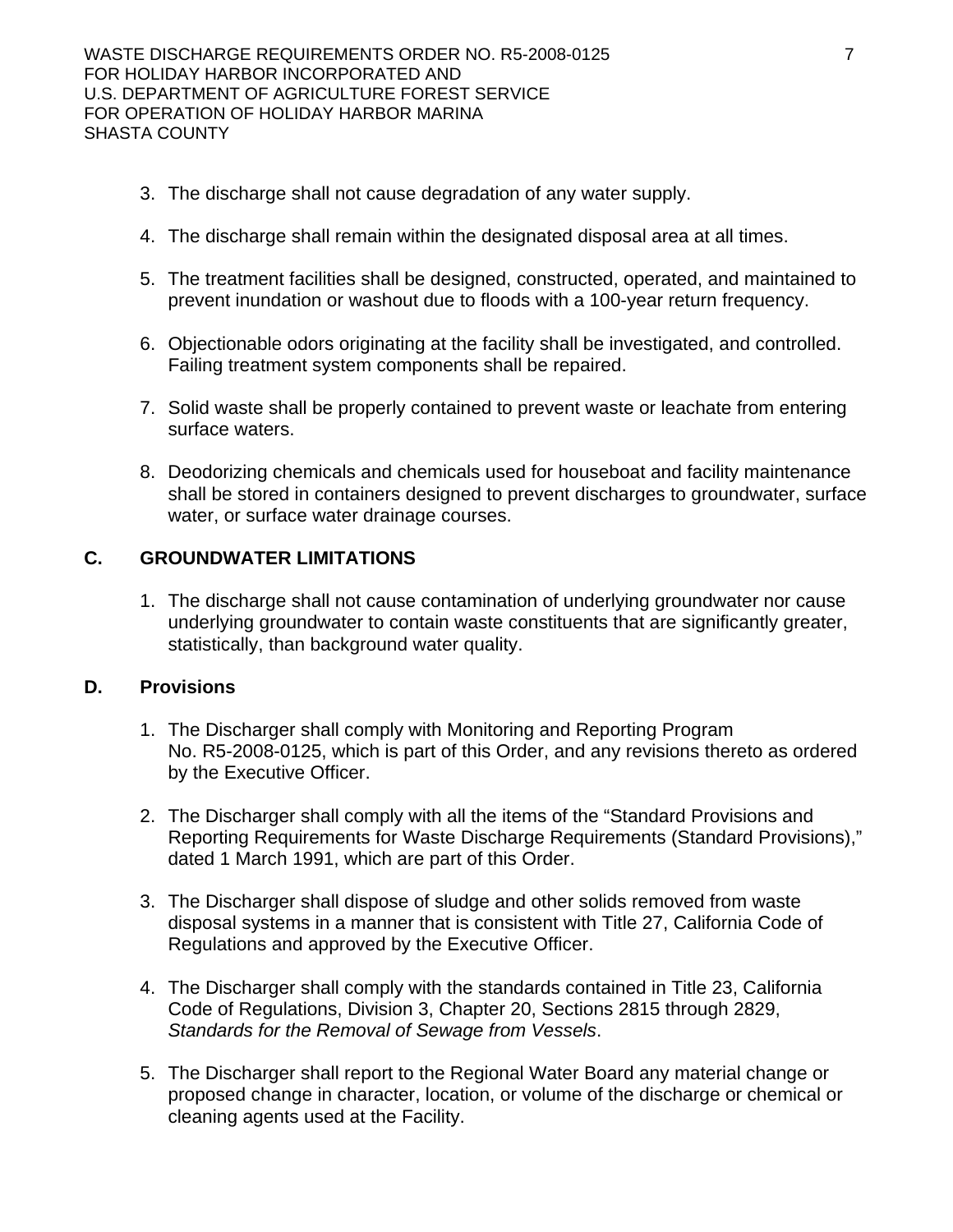- 3. The discharge shall not cause degradation of any water supply.
- 4. The discharge shall remain within the designated disposal area at all times.
- 5. The treatment facilities shall be designed, constructed, operated, and maintained to prevent inundation or washout due to floods with a 100-year return frequency.
- 6. Objectionable odors originating at the facility shall be investigated, and controlled. Failing treatment system components shall be repaired.
- 7. Solid waste shall be properly contained to prevent waste or leachate from entering surface waters.
- 8. Deodorizing chemicals and chemicals used for houseboat and facility maintenance shall be stored in containers designed to prevent discharges to groundwater, surface water, or surface water drainage courses.

#### **C. GROUNDWATER LIMITATIONS**

1. The discharge shall not cause contamination of underlying groundwater nor cause underlying groundwater to contain waste constituents that are significantly greater, statistically, than background water quality.

#### **D. Provisions**

- 1. The Discharger shall comply with Monitoring and Reporting Program No. R5-2008-0125, which is part of this Order, and any revisions thereto as ordered by the Executive Officer.
- 2. The Discharger shall comply with all the items of the "Standard Provisions and Reporting Requirements for Waste Discharge Requirements (Standard Provisions)," dated 1 March 1991, which are part of this Order.
- 3. The Discharger shall dispose of sludge and other solids removed from waste disposal systems in a manner that is consistent with Title 27, California Code of Regulations and approved by the Executive Officer.
- 4. The Discharger shall comply with the standards contained in Title 23, California Code of Regulations, Division 3, Chapter 20, Sections 2815 through 2829, *Standards for the Removal of Sewage from Vessels*.
- 5. The Discharger shall report to the Regional Water Board any material change or proposed change in character, location, or volume of the discharge or chemical or cleaning agents used at the Facility.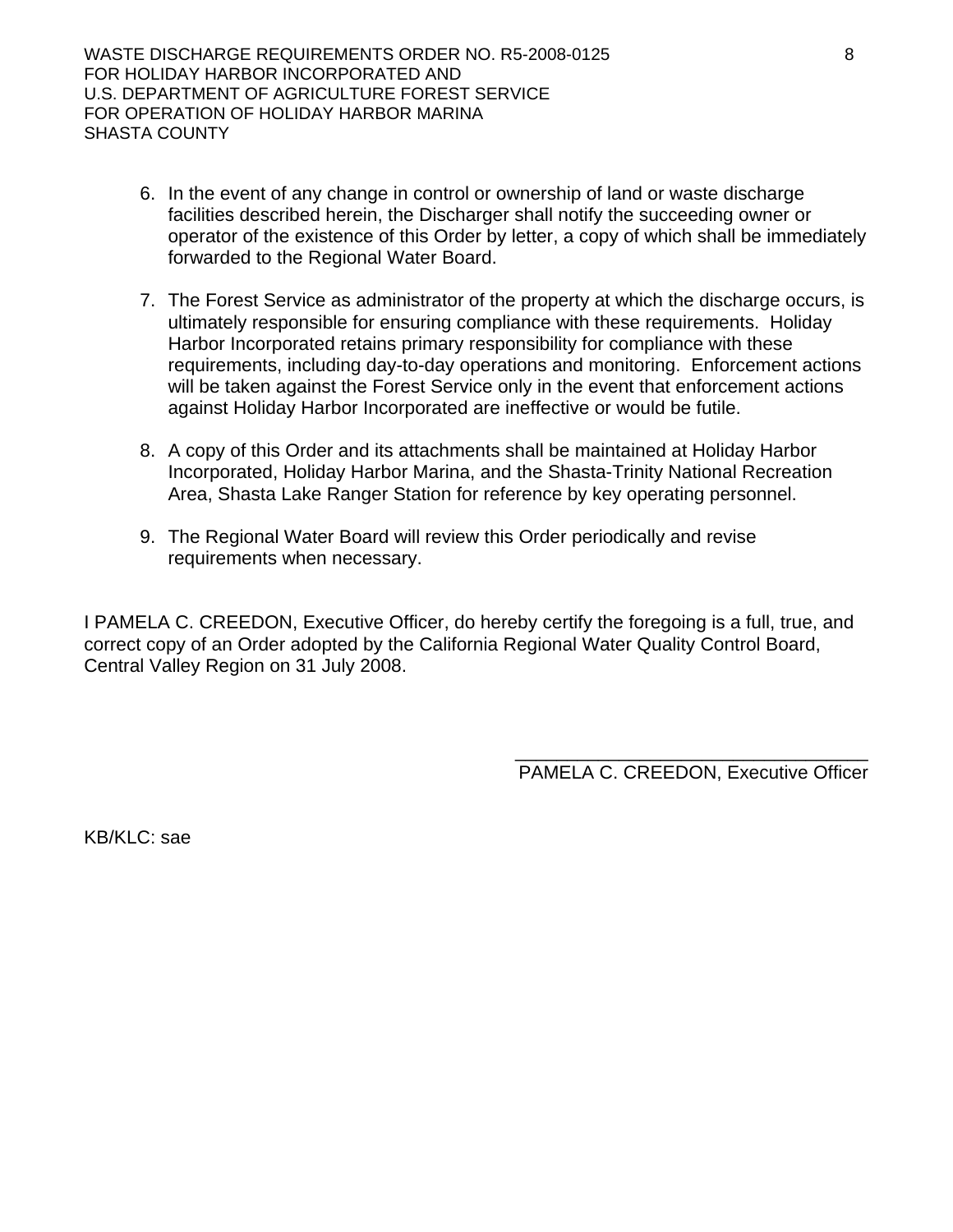- 6. In the event of any change in control or ownership of land or waste discharge facilities described herein, the Discharger shall notify the succeeding owner or operator of the existence of this Order by letter, a copy of which shall be immediately forwarded to the Regional Water Board.
- 7. The Forest Service as administrator of the property at which the discharge occurs, is ultimately responsible for ensuring compliance with these requirements. Holiday Harbor Incorporated retains primary responsibility for compliance with these requirements, including day-to-day operations and monitoring. Enforcement actions will be taken against the Forest Service only in the event that enforcement actions against Holiday Harbor Incorporated are ineffective or would be futile.
- 8. A copy of this Order and its attachments shall be maintained at Holiday Harbor Incorporated, Holiday Harbor Marina, and the Shasta-Trinity National Recreation Area, Shasta Lake Ranger Station for reference by key operating personnel.
- 9. The Regional Water Board will review this Order periodically and revise requirements when necessary.

I PAMELA C. CREEDON, Executive Officer, do hereby certify the foregoing is a full, true, and correct copy of an Order adopted by the California Regional Water Quality Control Board, Central Valley Region on 31 July 2008.

> \_\_\_\_\_\_\_\_\_\_\_\_\_\_\_\_\_\_\_\_\_\_\_\_\_\_\_\_\_\_\_\_\_\_ PAMELA C. CREEDON, Executive Officer

KB/KLC: sae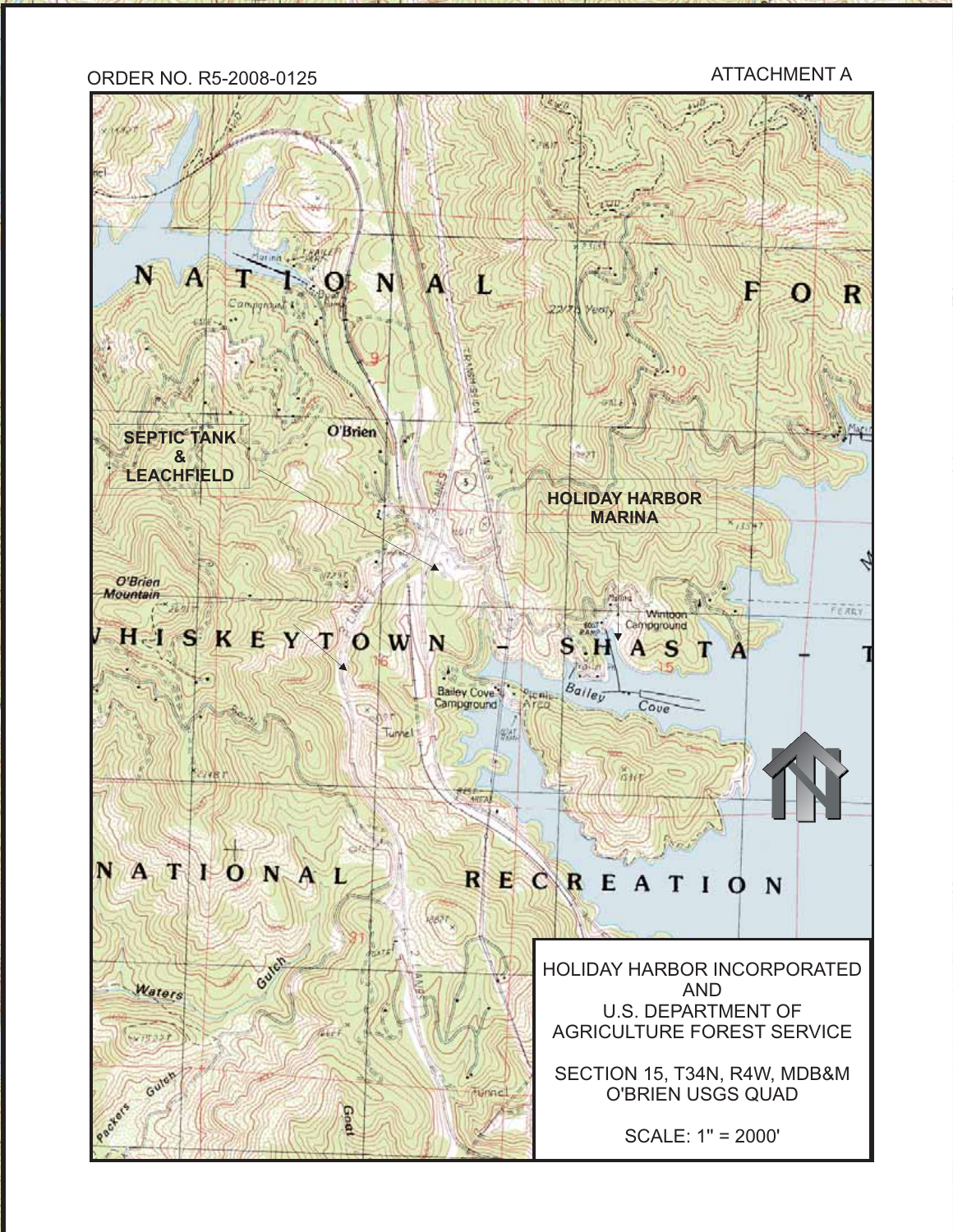# ORDER NO. R5-2008-0125 ATTACHMENT A

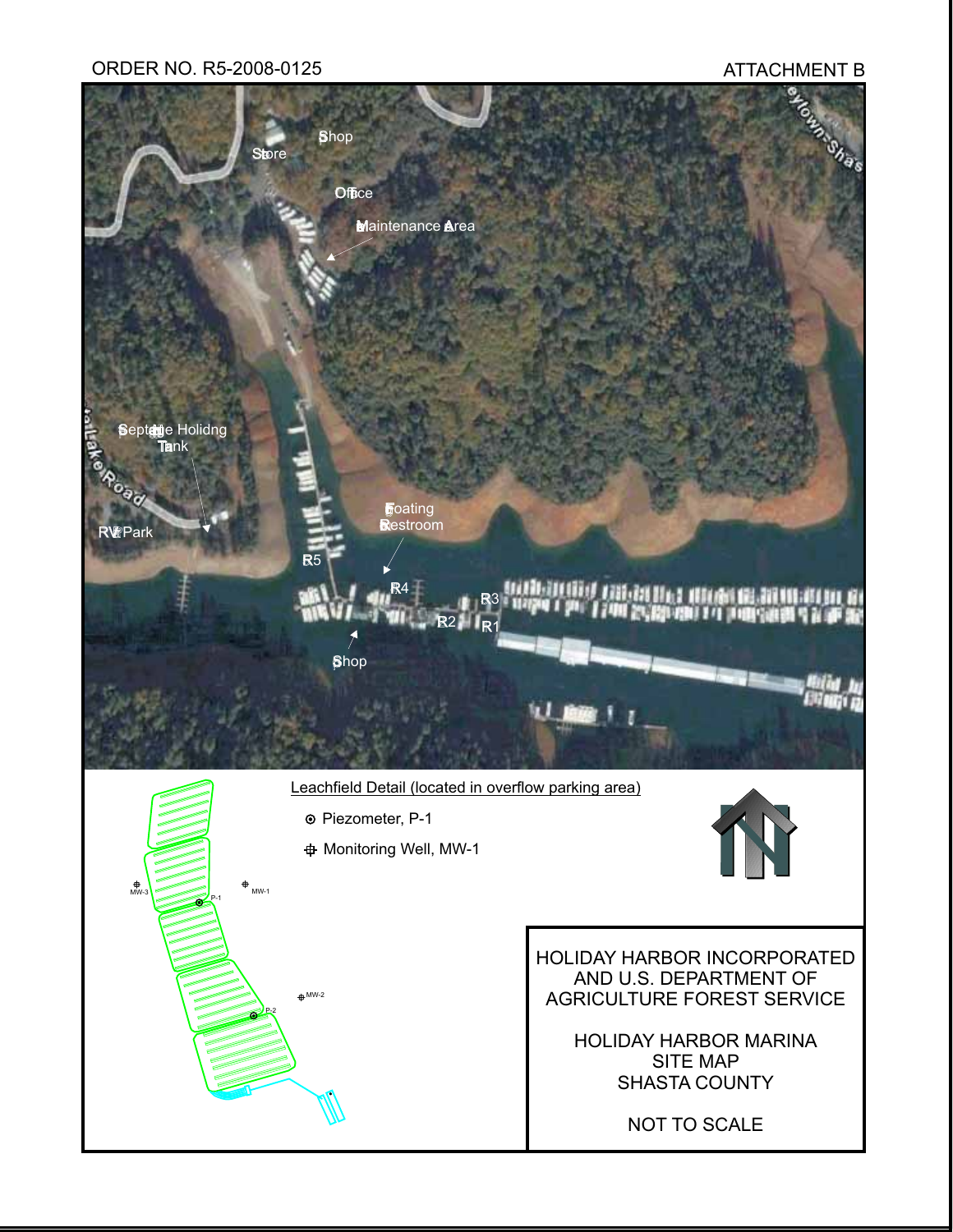#### ORDER NO. R5-2008-0125 ATTACHMENT B

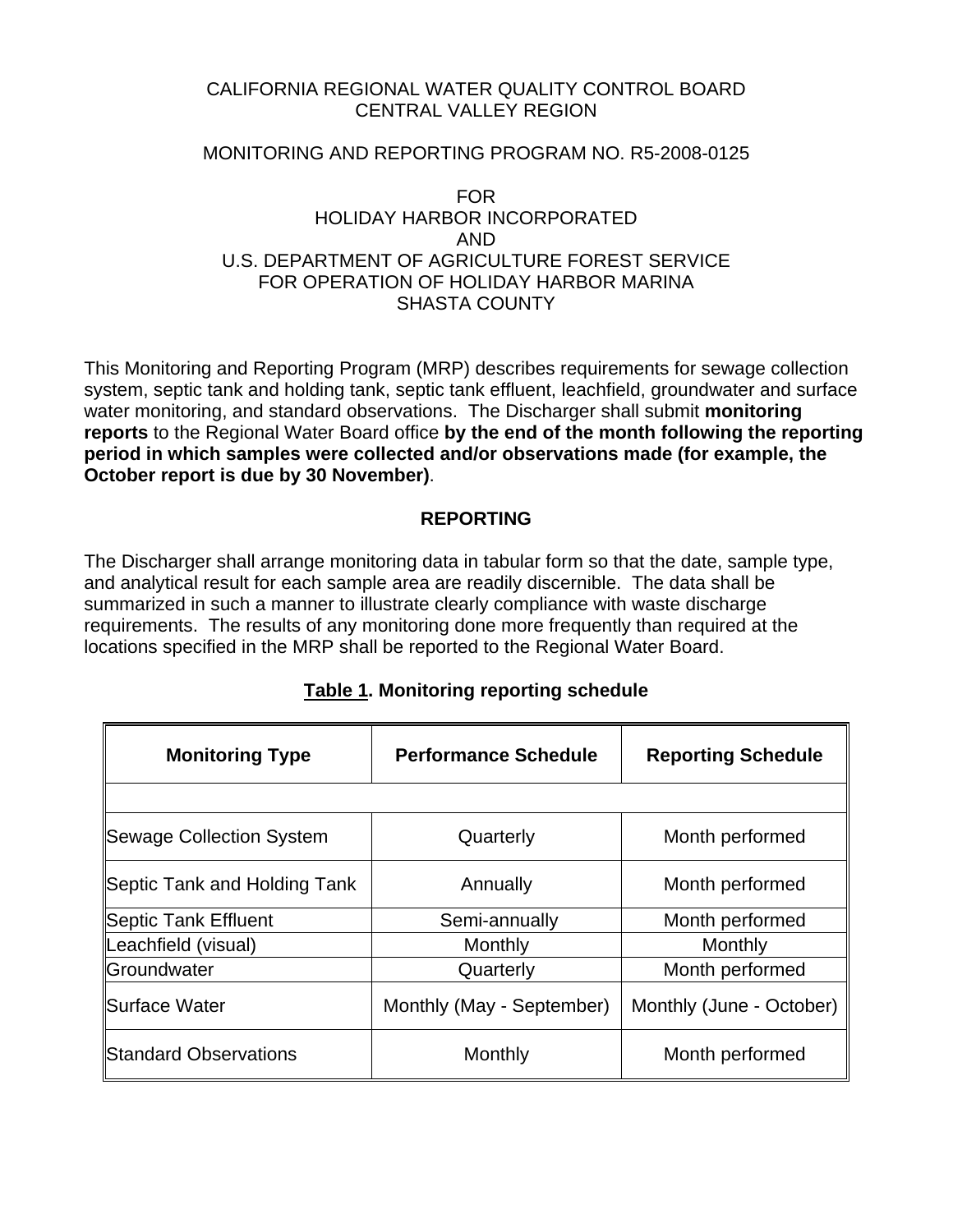#### CALIFORNIA REGIONAL WATER QUALITY CONTROL BOARD CENTRAL VALLEY REGION

#### MONITORING AND REPORTING PROGRAM NO. R5-2008-0125

#### FOR HOLIDAY HARBOR INCORPORATED AND U.S. DEPARTMENT OF AGRICULTURE FOREST SERVICE FOR OPERATION OF HOLIDAY HARBOR MARINA SHASTA COUNTY

This Monitoring and Reporting Program (MRP) describes requirements for sewage collection system, septic tank and holding tank, septic tank effluent, leachfield, groundwater and surface water monitoring, and standard observations. The Discharger shall submit **monitoring reports** to the Regional Water Board office **by the end of the month following the reporting period in which samples were collected and/or observations made (for example, the October report is due by 30 November)**.

## **REPORTING**

The Discharger shall arrange monitoring data in tabular form so that the date, sample type, and analytical result for each sample area are readily discernible. The data shall be summarized in such a manner to illustrate clearly compliance with waste discharge requirements. The results of any monitoring done more frequently than required at the locations specified in the MRP shall be reported to the Regional Water Board.

| <b>Monitoring Type</b>       | <b>Performance Schedule</b> | <b>Reporting Schedule</b> |
|------------------------------|-----------------------------|---------------------------|
|                              |                             |                           |
| Sewage Collection System     | Quarterly                   | Month performed           |
| Septic Tank and Holding Tank | Annually                    | Month performed           |
| Septic Tank Effluent         | Semi-annually               | Month performed           |
| Leachfield (visual)          | Monthly                     | Monthly                   |
| Groundwater                  | Quarterly                   | Month performed           |
| <b>ISurface Water</b>        | Monthly (May - September)   | Monthly (June - October)  |
| Standard Observations        | Monthly                     | Month performed           |

# **Table 1. Monitoring reporting schedule**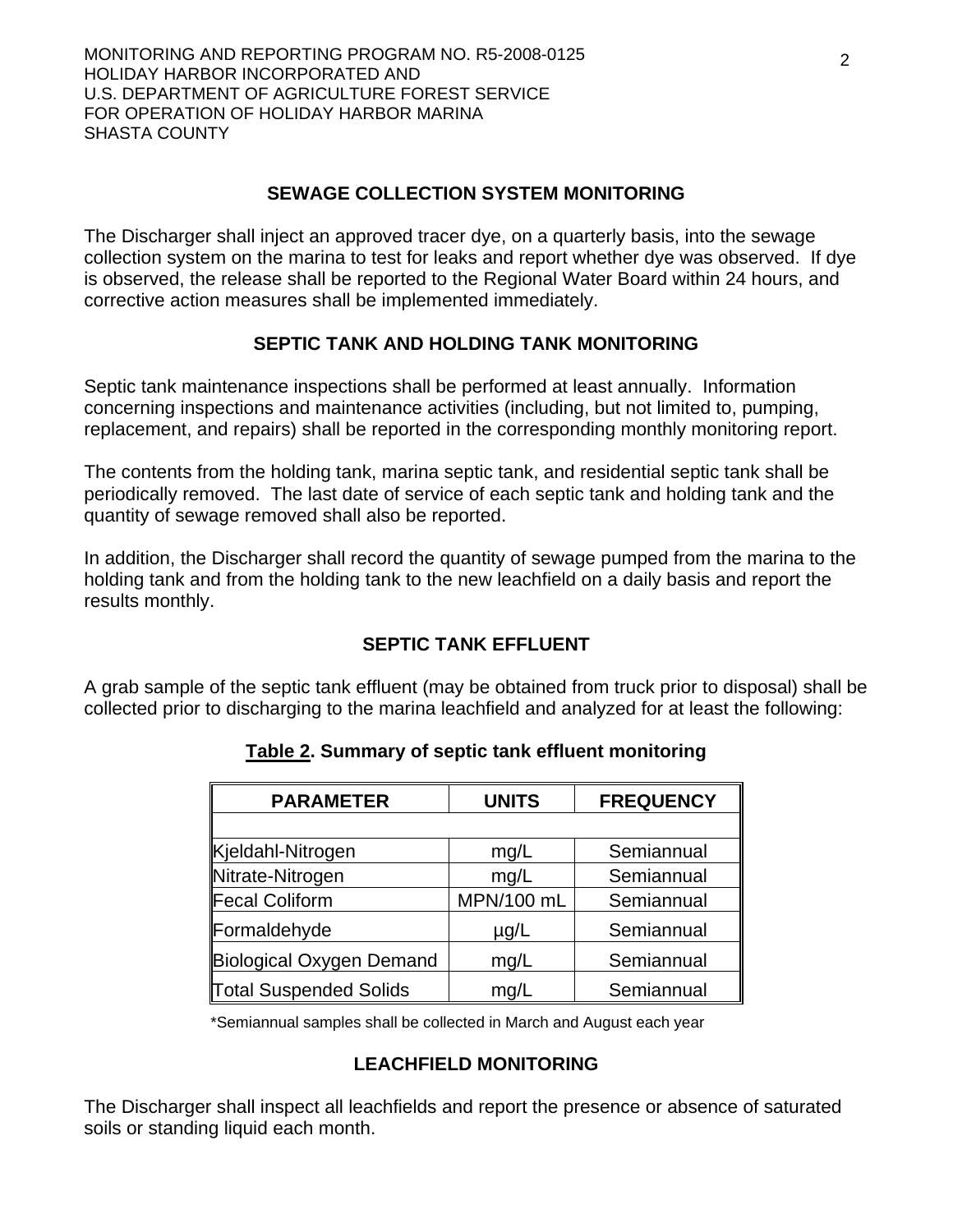## **SEWAGE COLLECTION SYSTEM MONITORING**

The Discharger shall inject an approved tracer dye, on a quarterly basis, into the sewage collection system on the marina to test for leaks and report whether dye was observed. If dye is observed, the release shall be reported to the Regional Water Board within 24 hours, and corrective action measures shall be implemented immediately.

## **SEPTIC TANK AND HOLDING TANK MONITORING**

Septic tank maintenance inspections shall be performed at least annually. Information concerning inspections and maintenance activities (including, but not limited to, pumping, replacement, and repairs) shall be reported in the corresponding monthly monitoring report.

The contents from the holding tank, marina septic tank, and residential septic tank shall be periodically removed. The last date of service of each septic tank and holding tank and the quantity of sewage removed shall also be reported.

In addition, the Discharger shall record the quantity of sewage pumped from the marina to the holding tank and from the holding tank to the new leachfield on a daily basis and report the results monthly.

# **SEPTIC TANK EFFLUENT**

A grab sample of the septic tank effluent (may be obtained from truck prior to disposal) shall be collected prior to discharging to the marina leachfield and analyzed for at least the following:

| <b>PARAMETER</b>         | <b>UNITS</b> | <b>FREQUENCY</b> |
|--------------------------|--------------|------------------|
|                          |              |                  |
| Kjeldahl-Nitrogen        | mg/L         | Semiannual       |
| Nitrate-Nitrogen         | mg/L         | Semiannual       |
| Fecal Coliform           | MPN/100 mL   | Semiannual       |
| Formaldehyde             | $\mu$ g/L    | Semiannual       |
| Biological Oxygen Demand | mg/L         | Semiannual       |
| Total Suspended Solids   | mg/L         | Semiannual       |

# **Table 2. Summary of septic tank effluent monitoring**

\*Semiannual samples shall be collected in March and August each year

#### **LEACHFIELD MONITORING**

The Discharger shall inspect all leachfields and report the presence or absence of saturated soils or standing liquid each month.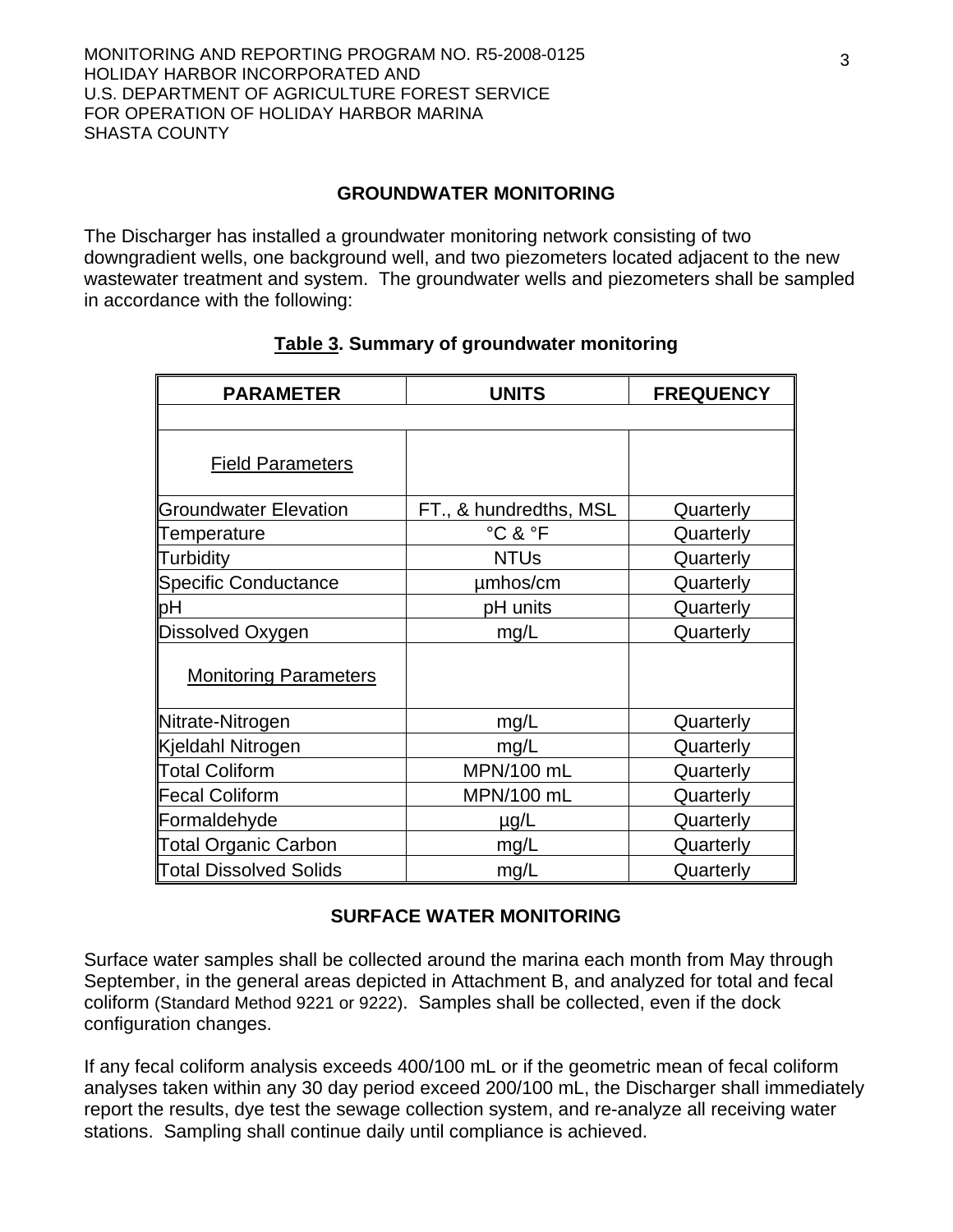#### **GROUNDWATER MONITORING**

The Discharger has installed a groundwater monitoring network consisting of two downgradient wells, one background well, and two piezometers located adjacent to the new wastewater treatment and system. The groundwater wells and piezometers shall be sampled in accordance with the following:

| <b>PARAMETER</b>              | <b>UNITS</b>           | <b>FREQUENCY</b> |
|-------------------------------|------------------------|------------------|
|                               |                        |                  |
| <b>Field Parameters</b>       |                        |                  |
| <b>Groundwater Elevation</b>  | FT., & hundredths, MSL | Quarterly        |
| Temperature                   | °C & °F                | Quarterly        |
| Turbidity                     | <b>NTUs</b>            | Quarterly        |
| <b>Specific Conductance</b>   | µmhos/cm               | Quarterly        |
| þН                            | pH units               | Quarterly        |
| Dissolved Oxygen              | mg/L                   | Quarterly        |
| <b>Monitoring Parameters</b>  |                        |                  |
| Nitrate-Nitrogen              | mg/L                   | Quarterly        |
| Kjeldahl Nitrogen             | mg/L                   | Quarterly        |
| <b>Total Coliform</b>         | MPN/100 mL             | Quarterly        |
| <b>Fecal Coliform</b>         | MPN/100 mL             | Quarterly        |
| Formaldehyde                  | $\mu$ g/L              | Quarterly        |
| <b>Total Organic Carbon</b>   | mg/L                   | Quarterly        |
| <b>Total Dissolved Solids</b> | mg/L                   | Quarterly        |

#### **Table 3. Summary of groundwater monitoring**

# **SURFACE WATER MONITORING**

Surface water samples shall be collected around the marina each month from May through September, in the general areas depicted in Attachment B, and analyzed for total and fecal coliform (Standard Method 9221 or 9222). Samples shall be collected, even if the dock configuration changes.

If any fecal coliform analysis exceeds 400/100 mL or if the geometric mean of fecal coliform analyses taken within any 30 day period exceed 200/100 mL, the Discharger shall immediately report the results, dye test the sewage collection system, and re-analyze all receiving water stations. Sampling shall continue daily until compliance is achieved.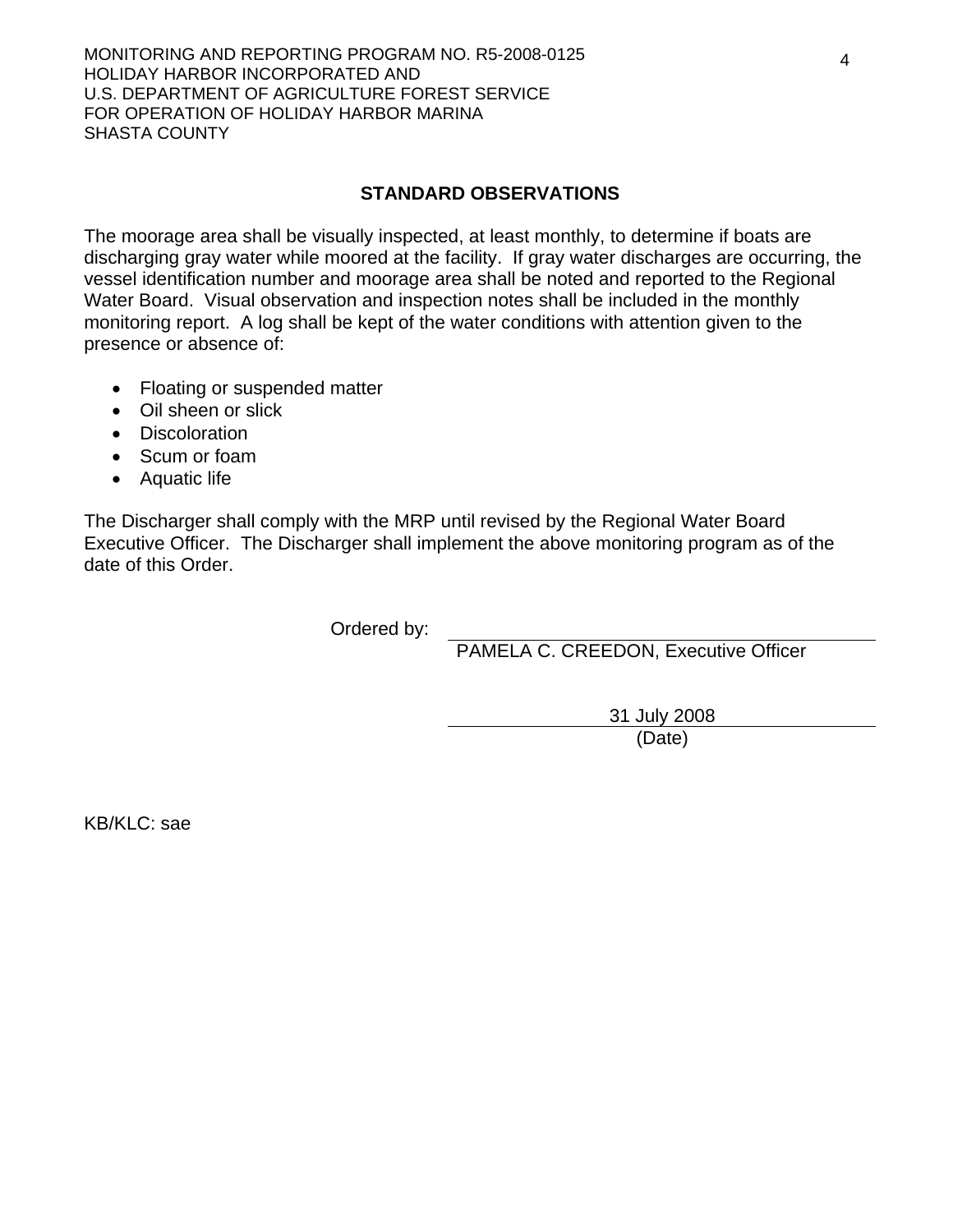## **STANDARD OBSERVATIONS**

The moorage area shall be visually inspected, at least monthly, to determine if boats are discharging gray water while moored at the facility. If gray water discharges are occurring, the vessel identification number and moorage area shall be noted and reported to the Regional Water Board. Visual observation and inspection notes shall be included in the monthly monitoring report. A log shall be kept of the water conditions with attention given to the presence or absence of:

- Floating or suspended matter
- Oil sheen or slick
- Discoloration
- Scum or foam
- Aquatic life

The Discharger shall comply with the MRP until revised by the Regional Water Board Executive Officer. The Discharger shall implement the above monitoring program as of the date of this Order.

Ordered by:

PAMELA C. CREEDON, Executive Officer

31 July 2008 (Date)

KB/KLC: sae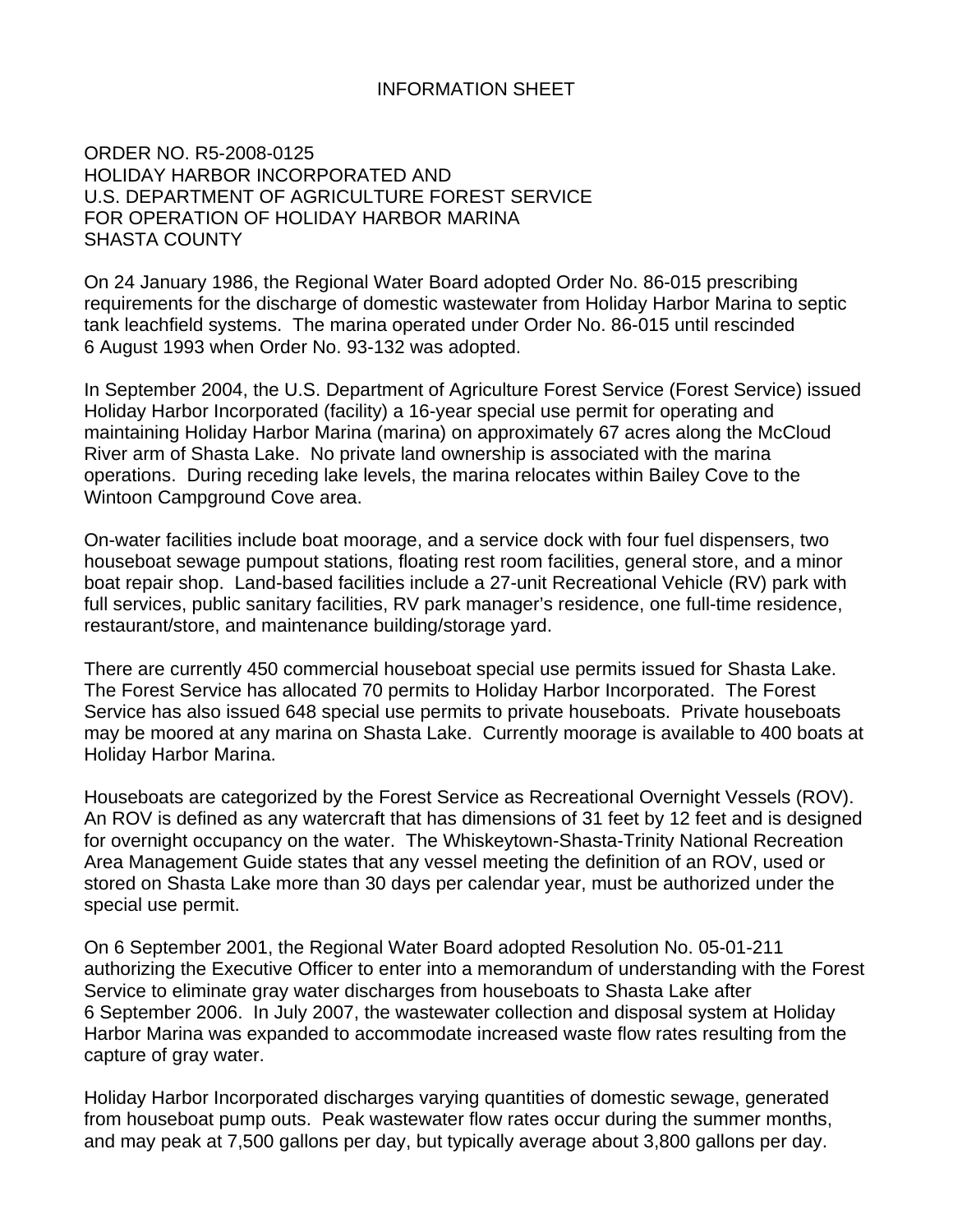#### INFORMATION SHEET

ORDER NO. R5-2008-0125 HOLIDAY HARBOR INCORPORATED AND U.S. DEPARTMENT OF AGRICULTURE FOREST SERVICE FOR OPERATION OF HOLIDAY HARBOR MARINA SHASTA COUNTY

On 24 January 1986, the Regional Water Board adopted Order No. 86-015 prescribing requirements for the discharge of domestic wastewater from Holiday Harbor Marina to septic tank leachfield systems. The marina operated under Order No. 86-015 until rescinded 6 August 1993 when Order No. 93-132 was adopted.

In September 2004, the U.S. Department of Agriculture Forest Service (Forest Service) issued Holiday Harbor Incorporated (facility) a 16-year special use permit for operating and maintaining Holiday Harbor Marina (marina) on approximately 67 acres along the McCloud River arm of Shasta Lake. No private land ownership is associated with the marina operations. During receding lake levels, the marina relocates within Bailey Cove to the Wintoon Campground Cove area.

On-water facilities include boat moorage, and a service dock with four fuel dispensers, two houseboat sewage pumpout stations, floating rest room facilities, general store, and a minor boat repair shop. Land-based facilities include a 27-unit Recreational Vehicle (RV) park with full services, public sanitary facilities, RV park manager's residence, one full-time residence, restaurant/store, and maintenance building/storage yard.

There are currently 450 commercial houseboat special use permits issued for Shasta Lake. The Forest Service has allocated 70 permits to Holiday Harbor Incorporated. The Forest Service has also issued 648 special use permits to private houseboats. Private houseboats may be moored at any marina on Shasta Lake. Currently moorage is available to 400 boats at Holiday Harbor Marina.

Houseboats are categorized by the Forest Service as Recreational Overnight Vessels (ROV). An ROV is defined as any watercraft that has dimensions of 31 feet by 12 feet and is designed for overnight occupancy on the water. The Whiskeytown-Shasta-Trinity National Recreation Area Management Guide states that any vessel meeting the definition of an ROV, used or stored on Shasta Lake more than 30 days per calendar year, must be authorized under the special use permit.

On 6 September 2001, the Regional Water Board adopted Resolution No. 05-01-211 authorizing the Executive Officer to enter into a memorandum of understanding with the Forest Service to eliminate gray water discharges from houseboats to Shasta Lake after 6 September 2006. In July 2007, the wastewater collection and disposal system at Holiday Harbor Marina was expanded to accommodate increased waste flow rates resulting from the capture of gray water.

Holiday Harbor Incorporated discharges varying quantities of domestic sewage, generated from houseboat pump outs. Peak wastewater flow rates occur during the summer months, and may peak at 7,500 gallons per day, but typically average about 3,800 gallons per day.